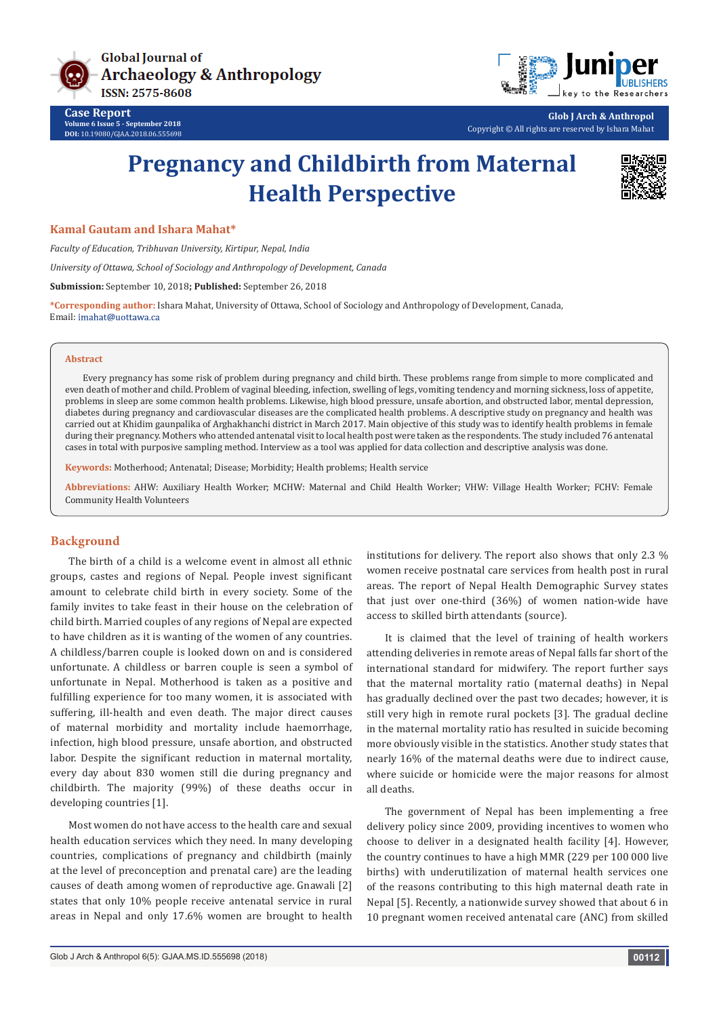

**Case Report Volume 6 Issue 5 - September 2018 DOI:** [10.19080/GJAA.2018.06.555698](http://dx.doi.org/10.19080/GJAA.2018.06.555698)



**Glob J Arch & Anthropol** Copyright © All rights are reserved by Ishara Mahat

# **Pregnancy and Childbirth from Maternal Health Perspective**



## **Kamal Gautam and Ishara Mahat\***

*Faculty of Education, Tribhuvan University, Kirtipur, Nepal, India*

*University of Ottawa, School of Sociology and Anthropology of Development, Canada*

**Submission:** September 10, 2018**; Published:** September 26, 2018

**\*Corresponding author:** Ishara Mahat, University of Ottawa, School of Sociology and Anthropology of Development, Canada, Email: imahat@uottawa.ca

#### **Abstract**

Every pregnancy has some risk of problem during pregnancy and child birth. These problems range from simple to more complicated and even death of mother and child. Problem of vaginal bleeding, infection, swelling of legs, vomiting tendency and morning sickness, loss of appetite, problems in sleep are some common health problems. Likewise, high blood pressure, unsafe abortion, and obstructed labor, mental depression, diabetes during pregnancy and cardiovascular diseases are the complicated health problems. A descriptive study on pregnancy and health was carried out at Khidim gaunpalika of Arghakhanchi district in March 2017. Main objective of this study was to identify health problems in female during their pregnancy. Mothers who attended antenatal visit to local health post were taken as the respondents. The study included 76 antenatal cases in total with purposive sampling method. Interview as a tool was applied for data collection and descriptive analysis was done.

**Keywords:** Motherhood; Antenatal; Disease; Morbidity; Health problems; Health service

**Abbreviations:** AHW: Auxiliary Health Worker; MCHW: Maternal and Child Health Worker; VHW: Village Health Worker; FCHV: Female Community Health Volunteers

## **Background**

The birth of a child is a welcome event in almost all ethnic groups, castes and regions of Nepal. People invest significant amount to celebrate child birth in every society. Some of the family invites to take feast in their house on the celebration of child birth. Married couples of any regions of Nepal are expected to have children as it is wanting of the women of any countries. A childless/barren couple is looked down on and is considered unfortunate. A childless or barren couple is seen a symbol of unfortunate in Nepal. Motherhood is taken as a positive and fulfilling experience for too many women, it is associated with suffering, ill-health and even death. The major direct causes of maternal morbidity and mortality include haemorrhage, infection, high blood pressure, unsafe abortion, and obstructed labor. Despite the significant reduction in maternal mortality, every day about 830 women still die during pregnancy and childbirth. The majority (99%) of these deaths occur in developing countries [1].

Most women do not have access to the health care and sexual health education services which they need. In many developing countries, complications of pregnancy and childbirth (mainly at the level of preconception and prenatal care) are the leading causes of death among women of reproductive age. Gnawali [2] states that only 10% people receive antenatal service in rural areas in Nepal and only 17.6% women are brought to health

institutions for delivery. The report also shows that only 2.3 % women receive postnatal care services from health post in rural areas. The report of Nepal Health Demographic Survey states that just over one-third (36%) of women nation-wide have access to skilled birth attendants (source).

It is claimed that the level of training of health workers attending deliveries in remote areas of Nepal falls far short of the international standard for midwifery. The report further says that the maternal mortality ratio (maternal deaths) in Nepal has gradually declined over the past two decades; however, it is still very high in remote rural pockets [3]. The gradual decline in the maternal mortality ratio has resulted in suicide becoming more obviously visible in the statistics. Another study states that nearly 16% of the maternal deaths were due to indirect cause, where suicide or homicide were the major reasons for almost all deaths.

The government of Nepal has been implementing a free delivery policy since 2009, providing incentives to women who choose to deliver in a designated health facility [4]. However, the country continues to have a high MMR (229 per 100 000 live births) with underutilization of maternal health services one of the reasons contributing to this high maternal death rate in Nepal [5]. Recently, a nationwide survey showed that about 6 in 10 pregnant women received antenatal care (ANC) from skilled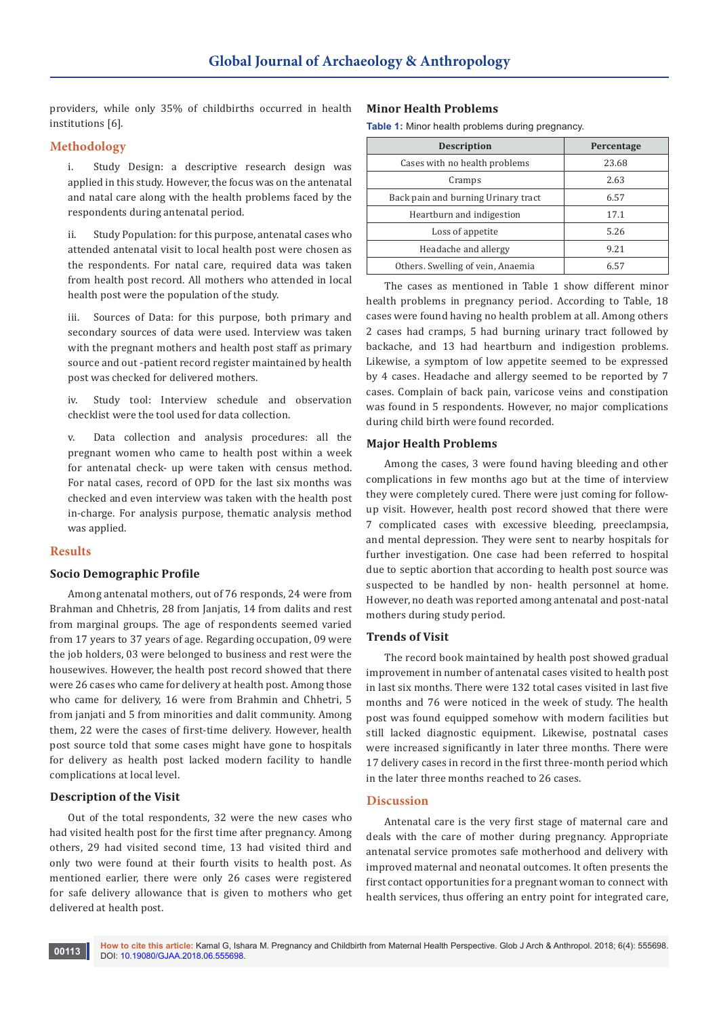providers, while only 35% of childbirths occurred in health institutions [6].

# **Methodology**

i. Study Design: a descriptive research design was applied in this study. However, the focus was on the antenatal and natal care along with the health problems faced by the respondents during antenatal period.

ii. Study Population: for this purpose, antenatal cases who attended antenatal visit to local health post were chosen as the respondents. For natal care, required data was taken from health post record. All mothers who attended in local health post were the population of the study.

Sources of Data: for this purpose, both primary and secondary sources of data were used. Interview was taken with the pregnant mothers and health post staff as primary source and out -patient record register maintained by health post was checked for delivered mothers.

iv. Study tool: Interview schedule and observation checklist were the tool used for data collection.

v. Data collection and analysis procedures: all the pregnant women who came to health post within a week for antenatal check- up were taken with census method. For natal cases, record of OPD for the last six months was checked and even interview was taken with the health post in-charge. For analysis purpose, thematic analysis method was applied.

## **Results**

## **Socio Demographic Profile**

Among antenatal mothers, out of 76 responds, 24 were from Brahman and Chhetris, 28 from Janjatis, 14 from dalits and rest from marginal groups. The age of respondents seemed varied from 17 years to 37 years of age. Regarding occupation, 09 were the job holders, 03 were belonged to business and rest were the housewives. However, the health post record showed that there were 26 cases who came for delivery at health post. Among those who came for delivery, 16 were from Brahmin and Chhetri, 5 from janjati and 5 from minorities and dalit community. Among them, 22 were the cases of first-time delivery. However, health post source told that some cases might have gone to hospitals for delivery as health post lacked modern facility to handle complications at local level.

## **Description of the Visit**

Out of the total respondents, 32 were the new cases who had visited health post for the first time after pregnancy. Among others, 29 had visited second time, 13 had visited third and only two were found at their fourth visits to health post. As mentioned earlier, there were only 26 cases were registered for safe delivery allowance that is given to mothers who get delivered at health post.

## **Minor Health Problems**

**Table 1:** Minor health problems during pregnancy.

| <b>Description</b>                  | Percentage |
|-------------------------------------|------------|
| Cases with no health problems       | 23.68      |
| Cramps                              | 2.63       |
| Back pain and burning Urinary tract | 6.57       |
| Heartburn and indigestion           | 17.1       |
| Loss of appetite                    | 5.26       |
| Headache and allergy                | 9.21       |
| Others. Swelling of vein, Anaemia   | 657        |

The cases as mentioned in Table 1 show different minor health problems in pregnancy period. According to Table, 18 cases were found having no health problem at all. Among others 2 cases had cramps, 5 had burning urinary tract followed by backache, and 13 had heartburn and indigestion problems. Likewise, a symptom of low appetite seemed to be expressed by 4 cases. Headache and allergy seemed to be reported by 7 cases. Complain of back pain, varicose veins and constipation was found in 5 respondents. However, no major complications during child birth were found recorded.

## **Major Health Problems**

Among the cases, 3 were found having bleeding and other complications in few months ago but at the time of interview they were completely cured. There were just coming for followup visit. However, health post record showed that there were 7 complicated cases with excessive bleeding, preeclampsia, and mental depression. They were sent to nearby hospitals for further investigation. One case had been referred to hospital due to septic abortion that according to health post source was suspected to be handled by non- health personnel at home. However, no death was reported among antenatal and post-natal mothers during study period.

#### **Trends of Visit**

The record book maintained by health post showed gradual improvement in number of antenatal cases visited to health post in last six months. There were 132 total cases visited in last five months and 76 were noticed in the week of study. The health post was found equipped somehow with modern facilities but still lacked diagnostic equipment. Likewise, postnatal cases were increased significantly in later three months. There were 17 delivery cases in record in the first three-month period which in the later three months reached to 26 cases.

# **Discussion**

Antenatal care is the very first stage of maternal care and deals with the care of mother during pregnancy. Appropriate antenatal service promotes safe motherhood and delivery with improved maternal and neonatal outcomes. It often presents the first contact opportunities for a pregnant woman to connect with health services, thus offering an entry point for integrated care,